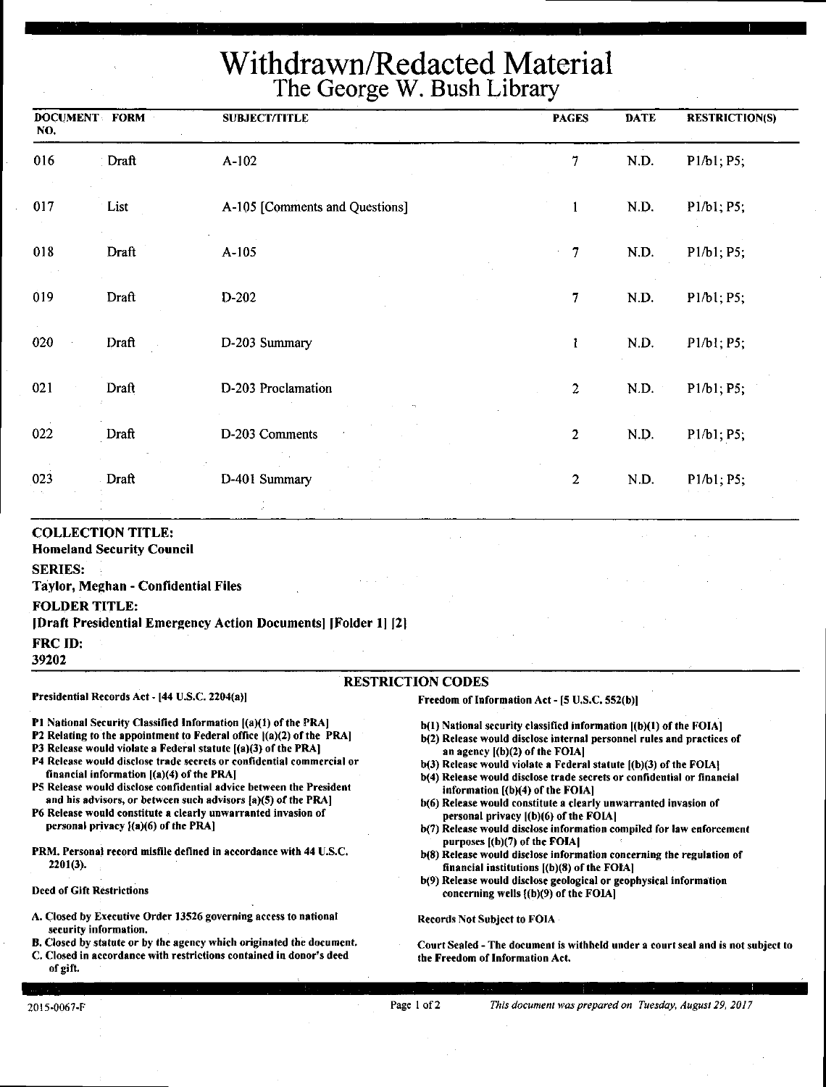# Withdrawn/Redacted Material The George W. Bush Library

| <b>DOCUMENT FORM</b><br>NO. |       | <b>SUBJECT/TITLE</b>           |                | <b>DATE</b><br><b>PAGES</b> | <b>RESTRICTION(S)</b> |
|-----------------------------|-------|--------------------------------|----------------|-----------------------------|-----------------------|
| 016                         | Draft | $A-102$                        | 7              | N.D.                        | P1/b1; P5;            |
| 017                         | List  | A-105 [Comments and Questions] | $\mathbf{1}$   | N.D.                        | P1/b1; P5;            |
| 018                         | Draft | A-105                          | $\overline{7}$ | N.D.                        | P1/b1; P5;            |
| 019                         | Draft | D-202                          | $\overline{7}$ | N.D.                        | P1/b1; P5;            |
| 020                         | Draft | D-203 Summary                  | $\mathbf{I}$   | N.D.                        | P1/b1; P5;            |
| 021                         | Draft | D-203 Proclamation             | $\overline{c}$ | N.D.                        | P1/b1; P5;            |
| 022                         | Draft | D-203 Comments                 | $\overline{2}$ | N.D.                        | P1/b1; P5;            |
| 023                         | Draft | D-401 Summary                  | $\overline{c}$ | N.D.                        | P1/b1; P5;            |

#### **COLLECTION TITLE:**

**Homeland Security Council** 

#### **SERIES:**

**Taylor, Meghan** - **Confidential Files** 

#### **FOLDER TITLE:**

**[Draft Presidential Emergency Action Documents] [Folder l] ]2]** 

FRC ID:

**39202** 

#### RESTRICTION CODES

#### Presidential Records Act - [44 U.S.C. 2204(a))

financial information ((a)(4) of the PRAJ

personal privacy  $[(a)(6)$  of the PRA]

P1 National Security Classified Information ((a)(1) of the PRAI P2 Relating to the appointment to Federal office  $|(a)(2)$  of the PRA] P3 Release would violate a Federal statute [(a)(3) of the PRA] P4 Release would disclose trade secrets or confidential commercial or

PS Release would disclose confidential advice between the President and his advisors, or between such advisors (a)(S) of the PRA) P6 Release would constitute a clearly unwarranted invasion of

PRM. Personal record misfile defined in accordance with 44 U.S.C.

A. Closed by Executive Order 13526 governing access to national

B. Closed by statute or by the agency which originated the document, C. Closed in accordance with restrictions contained in donor's deed

Freedom of Information Act - [5 U.S.C. S52(b))

- b(l) National security classified information ((b)(l) of the FOIAJ
- b(2) Release would disclose internal personnel rules and practices of an agency ((b)(2) of the FOIAI
- $b(3)$  Release would violate a Federal statute  $(b)(3)$  of the FOIA]
- b(4) Release would disclose trade secrets or confidential or financial information  $[(b)(4)$  of the FOIA]
- b(6) Release would constitute a clearly unwarranted invasion of personal privacy ((b)(6) of the FOIAJ
- b(7) Release would disclose information compiled for law enforcement purposes ((b)(7) of the FOIA]
- b(8) Release would disclose information concerning the regulation of financial institutions ((b)(8) of the FOIA)
- b(9) Release would disclose geological or geophysical information concerning wells ((b)(9) of the FOIA)

Records Not Subject to FOIA

Court Sealed - The document is withheld under a court seal and is not subject to the Freedom of Information Act.

of gift.

2201(3).

Deed of Gift Restrictions

security information.

Page l of2 *This document was prepared on Tuesday, August 29, 2017*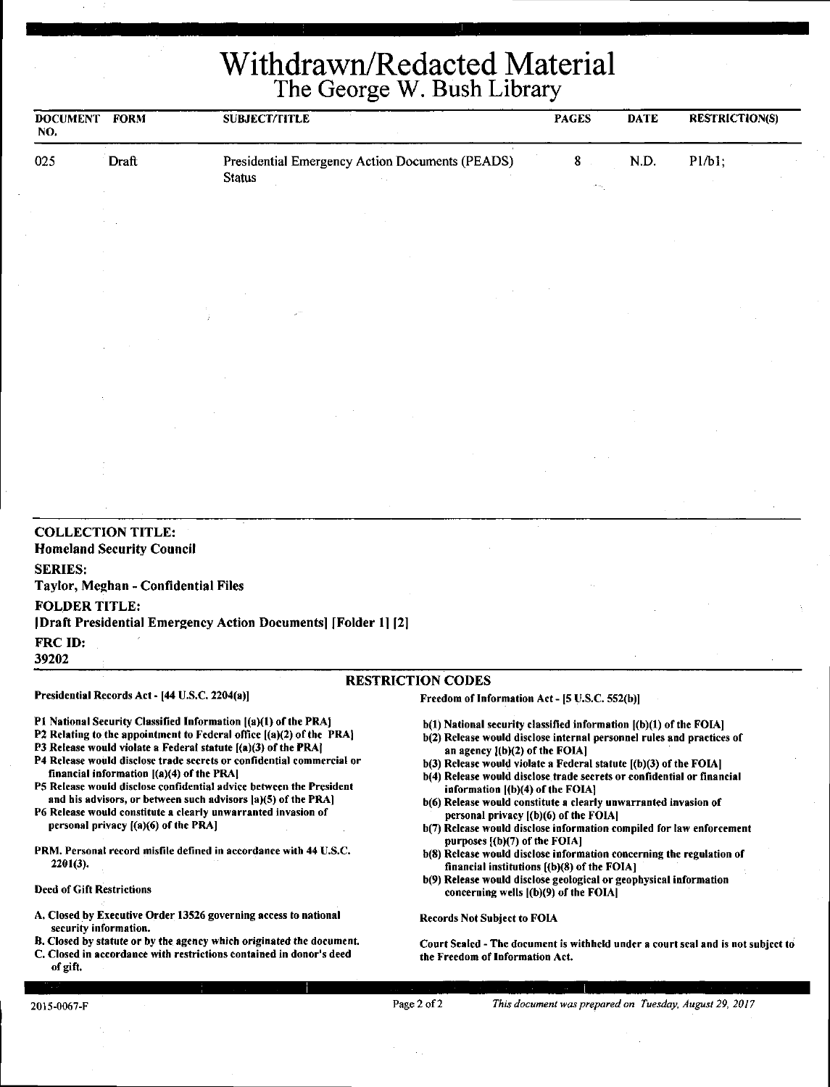Withdrawn/Redacted Material The George W. Bush Library

| Presidential Emergency Action Documents (PEADS)<br>$8 -$<br>N.D.<br>P1/b1;<br>025<br>Draft<br><b>Status</b><br><b>COLLECTION TITLE:</b><br><b>Homeland Security Council</b><br><b>SERIES:</b><br>Taylor, Meghan - Confidential Files<br><b>FOLDER TITLE:</b><br>[Draft Presidential Emergency Action Documents] [Folder 1] [2] | <b>RESTRICTION(S)</b> | <b>PAGES</b><br><b>DATE</b> | <b>SUBJECT/TITLE</b> | <b>DOCUMENT FORM</b><br>NO. |
|--------------------------------------------------------------------------------------------------------------------------------------------------------------------------------------------------------------------------------------------------------------------------------------------------------------------------------|-----------------------|-----------------------------|----------------------|-----------------------------|
|                                                                                                                                                                                                                                                                                                                                |                       |                             |                      |                             |
|                                                                                                                                                                                                                                                                                                                                |                       |                             |                      |                             |
|                                                                                                                                                                                                                                                                                                                                |                       |                             |                      |                             |
|                                                                                                                                                                                                                                                                                                                                |                       |                             |                      |                             |
|                                                                                                                                                                                                                                                                                                                                |                       |                             |                      |                             |
|                                                                                                                                                                                                                                                                                                                                |                       |                             |                      |                             |
|                                                                                                                                                                                                                                                                                                                                |                       |                             |                      |                             |
|                                                                                                                                                                                                                                                                                                                                |                       |                             |                      |                             |
| 39202                                                                                                                                                                                                                                                                                                                          |                       |                             |                      | FRC ID:                     |
| <b>RESTRICTION CODES</b><br>Presidential Records Act - [44 U.S.C. 2204(a)]                                                                                                                                                                                                                                                     |                       |                             |                      |                             |

Pl National Security Classified Information ((a)(l) of the PRAJ P2 Relating to the appointment to Federal office [(a)(2) of the PRAJ P3 Release would violate a Federal statute ((a)(3) of the PRAJ P4 Release would disclose trade secrets or confidential commercial or

PS Release would disclose confidential advice between the President and his advisors, or between such advisors  $[a](5)$  of the PRA] P6 Release would constitute a clearly unwarranted invasion of

PRM. Personal record misfile defined in accordance with 44 U.S.C.

A. Closed by Executive Order 13526 governing access to national

B. Closed by statute or by the agency which originated the document. C. Closed in accordance with restrictions contained in donor's deed

financial information ((a)(4) of the PRAI

personal privacy ((a)(6) of the PRAJ

- b(l) National security classified information ((b)(l) of the FOIAJ
- b(2) Release would disclose internal personnel rules and practices of an agency l(b)(2) of the FOIAl
- $b(3)$  Release would violate a Federal statute  $(6)(3)$  of the FOIA]
- b(4) Release would disclose trade secrets or confidential or financial information  $[(b)(4)$  of the FOIA]
- b(6) Release would constitute a clearly unwarranted invasion of personal privacy ((b)(6) of the FOIAl
- b(7) Release would disclose information compiled for law enforcement purposes [(b)(7) of the **FOIA**]
- b(8) Release would disclose information concerning the regulation of financial institutions [(b)(8) of the FOIA]
- b(9) Release would disclose geological or geophysical information concerning wells ((b)(9) of the FOIAJ

Records Not Subject to FOIA

Court Sealed - The document is withheld under a court seal and is not subject to the Freedom of Information Act.

of gift.

2201(3).

Deed of Gift Restrictions

security information.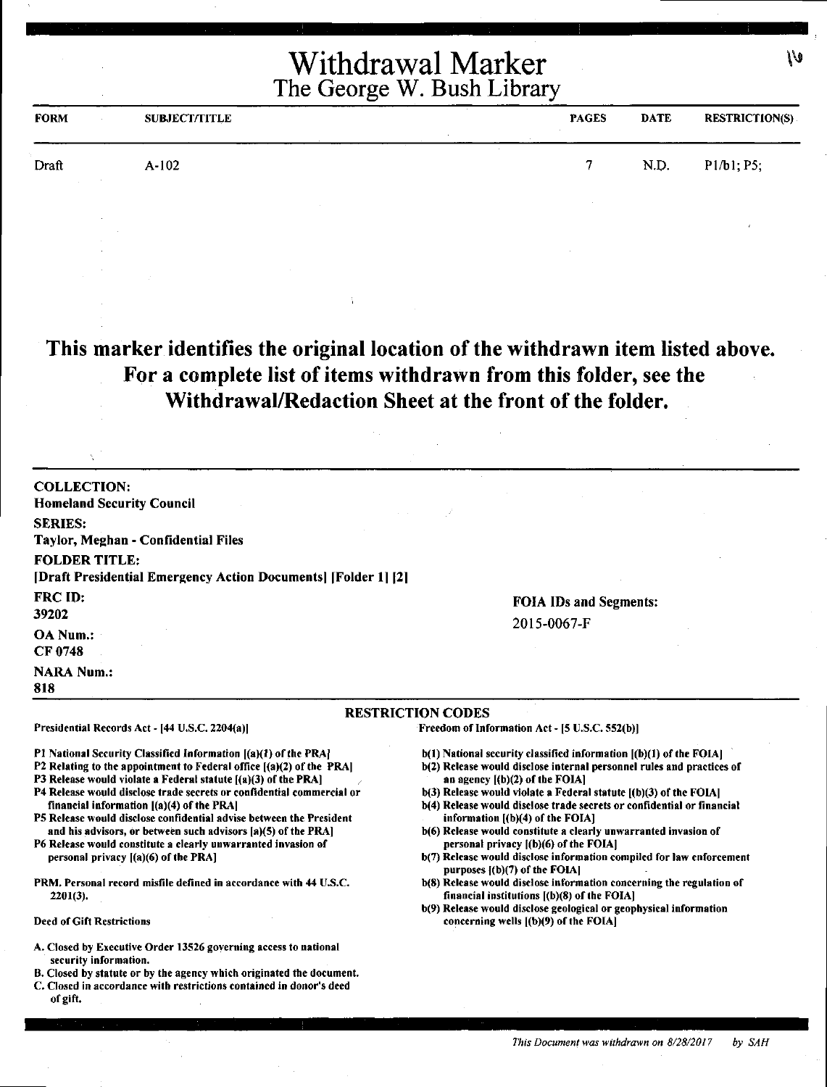| <b>FORM</b> | <b>SUBJECT/TITLE</b> | <b>PAGES</b> | <b>DATE</b> | <b>RESTRICTION(S)</b> |
|-------------|----------------------|--------------|-------------|-----------------------|
| Draft       | $A-102$              | 7            | N.D.        | P1/b1; P5;            |
|             |                      |              |             |                       |

## **This marker identifies the original location of the withdrawn item listed above. For a complete list of items withdrawn from this folder, see the Withdrawal/Redaction Sheet at the front of the folder.**

| <b>COLLECTION:</b><br><b>Homeland Security Council</b>                                                                                                                                                                                                              |                                                                                                                                                                                    |  |  |
|---------------------------------------------------------------------------------------------------------------------------------------------------------------------------------------------------------------------------------------------------------------------|------------------------------------------------------------------------------------------------------------------------------------------------------------------------------------|--|--|
| <b>SERIES:</b><br>Taylor, Meghan - Confidential Files                                                                                                                                                                                                               |                                                                                                                                                                                    |  |  |
| <b>FOLDER TITLE:</b><br>[2] [Draft Presidential Emergency Action Documents] [Folder 1]                                                                                                                                                                              |                                                                                                                                                                                    |  |  |
| FRC ID:<br>39202                                                                                                                                                                                                                                                    | <b>FOIA IDs and Segments:</b><br>2015-0067-F                                                                                                                                       |  |  |
| OA Num.:<br>CF 0748                                                                                                                                                                                                                                                 |                                                                                                                                                                                    |  |  |
| <b>NARA Num.:</b><br>818                                                                                                                                                                                                                                            |                                                                                                                                                                                    |  |  |
|                                                                                                                                                                                                                                                                     | <b>RESTRICTION CODES</b>                                                                                                                                                           |  |  |
| Presidential Records Act - [44 U.S.C. 2204(a)]                                                                                                                                                                                                                      | Freedom of Information Act - [5 U.S.C. 552(b)]                                                                                                                                     |  |  |
| P1 National Security Classified Information [(a)(1) of the PRA]<br>P2 Relating to the appointment to Federal office [(a)(2) of the PRA]<br><b>P3 Release would violate a Federal statute <math>(</math>a<math>)(</math>3<math>)</math> of the PRA<math>)</math></b> | $b(1)$ National security classified information $(a)(1)$ of the FOIA.<br>b(2) Release would disclose internal personnel rules and practices of<br>an agency $[(b)(2)$ of the FOIA] |  |  |

- P4 Release would disclose trade secrets or confidential commercial or financial information [(a)(4) of the PRAJ
- PS Release would disclose confidential advise between the President and his advisors, or between such advisors (a)(S) of the PRA)
- P6 Release would constitute a clearly unwarranted invasion of personal privacy ((a)(6) of the PRA]
- PRM. Personal record misfile defined in accordance with 44 U.S.C. 2201(3).

#### Deed of Gift Restrictions

- A. Closed by Executive Order 13526 governing access to national security information.
- B. Closed by statute or by the agency which originated the document.
- C. Closed in accordance with restrictions contained in donor's deed of gift.
- an agency [(b)(2) of the FOIA]
- $b(3)$  Release would violate a Federal statute  $[(b)(3)$  of the FOIA]
- b(4) Release would disclose trade secrets or confidential or financial information ((b)(4) of the FOIAl
- b(6) Release would constitute a clearly unwarranted invasion of personal privacy f(b)(6) of the FOIA)
- b(7) Release would disclose information compiled for law enforcement purposes  $[(b)(7)$  of the FOIA]
- b(8) Release would disclose information concerning the regulation of financial institutions ((b)(8) of the FOIA]
- b(9) Release would disclose geological or geophysical information concerning wells ((b)(9) of the FOIA)

١V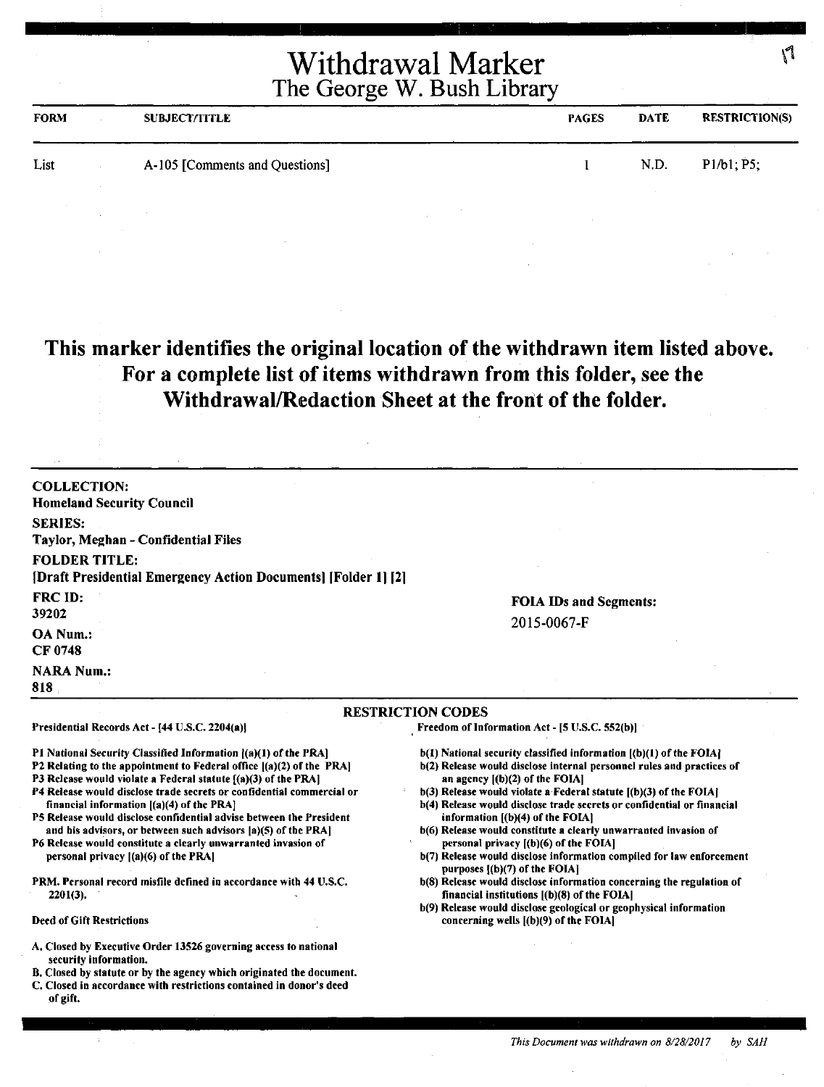| Withdrawal Marker          |  |
|----------------------------|--|
| The George W. Bush Library |  |

| <b>FORM</b> | <b>SUBJECT/TITLE</b>           | <b>PAGES</b> | <b>DATE</b> | <b>RESTRICTION(S)</b> |
|-------------|--------------------------------|--------------|-------------|-----------------------|
| List        | A-105 [Comments and Questions] |              | N.D.        | P1/b1, P5,            |

# **This marker identifies the original location of the withdrawn item listed above. For a complete list of items withdrawn from this folder, see the Withdrawal/Redaction Sheet at the front of the folder.**

| <b>COLLECTION:</b><br><b>Homeland Security Council</b>                                                                                                                                                                                                                                                                                                                                                                                                                                                                                                                                                                                                                              |                                                                                                                                                                                                                                                                                                                                                                                                                                                                                                                                                                                                                                                                                                                                                                                                 |
|-------------------------------------------------------------------------------------------------------------------------------------------------------------------------------------------------------------------------------------------------------------------------------------------------------------------------------------------------------------------------------------------------------------------------------------------------------------------------------------------------------------------------------------------------------------------------------------------------------------------------------------------------------------------------------------|-------------------------------------------------------------------------------------------------------------------------------------------------------------------------------------------------------------------------------------------------------------------------------------------------------------------------------------------------------------------------------------------------------------------------------------------------------------------------------------------------------------------------------------------------------------------------------------------------------------------------------------------------------------------------------------------------------------------------------------------------------------------------------------------------|
| <b>SERIES:</b><br>Taylor, Meghan - Confidential Files                                                                                                                                                                                                                                                                                                                                                                                                                                                                                                                                                                                                                               |                                                                                                                                                                                                                                                                                                                                                                                                                                                                                                                                                                                                                                                                                                                                                                                                 |
| <b>FOLDER TITLE:</b><br>[Draft Presidential Emergency Action Documents] [Folder 1] [2]                                                                                                                                                                                                                                                                                                                                                                                                                                                                                                                                                                                              |                                                                                                                                                                                                                                                                                                                                                                                                                                                                                                                                                                                                                                                                                                                                                                                                 |
| FRC ID:<br>39202                                                                                                                                                                                                                                                                                                                                                                                                                                                                                                                                                                                                                                                                    | <b>FOIA IDs and Segments:</b>                                                                                                                                                                                                                                                                                                                                                                                                                                                                                                                                                                                                                                                                                                                                                                   |
| OA Num.:<br><b>CF 0748</b>                                                                                                                                                                                                                                                                                                                                                                                                                                                                                                                                                                                                                                                          | 2015-0067-F                                                                                                                                                                                                                                                                                                                                                                                                                                                                                                                                                                                                                                                                                                                                                                                     |
| <b>NARA Num.:</b><br>818                                                                                                                                                                                                                                                                                                                                                                                                                                                                                                                                                                                                                                                            |                                                                                                                                                                                                                                                                                                                                                                                                                                                                                                                                                                                                                                                                                                                                                                                                 |
|                                                                                                                                                                                                                                                                                                                                                                                                                                                                                                                                                                                                                                                                                     | <b>RESTRICTION CODES</b>                                                                                                                                                                                                                                                                                                                                                                                                                                                                                                                                                                                                                                                                                                                                                                        |
| Presidential Records Act - [44 U.S.C. 2204(a)]                                                                                                                                                                                                                                                                                                                                                                                                                                                                                                                                                                                                                                      | Freedom of Information Act - [5 U.S.C. 552(b)]                                                                                                                                                                                                                                                                                                                                                                                                                                                                                                                                                                                                                                                                                                                                                  |
| P1 National Security Classified Information ((a)(1) of the PRA]<br>P2 Relating to the appointment to Federal office $[(a)(2)$ of the PRA]<br>P3 Release would violate a Federal statute [(a)(3) of the PRA]<br>P4 Release would disclose trade secrets or confidential commercial or<br>financial information $[(a)(4)$ of the PRA $]$<br>P5 Release would disclose confidential advise between the President<br>and his advisors, or between such advisors (a)(5) of the PRA]<br>P6 Release would constitute a clearly unwarranted invasion of<br>personal privacy $[(a)(6)$ of the PRA<br><b>PRM. Personal record misfile defined in accordance with 44 U.S.C.</b><br>$2201(3)$ . | b(1) National security classified information [(b)(1) of the FOIA]<br>b(2) Release would disclose internal personnel rules and practices of<br>an agency $[(b)(2)$ of the FOIA]<br>$b(3)$ Release would violate a Federal statute $[(b)(3)$ of the FOIA]<br>b(4) Release would disclose trade secrets or confidential or financial<br>information $[(b)(4)$ of the FOIA]<br>b(6) Release would constitute a clearly unwarranted invasion of<br>personal privacy $(1)(6)$ of the FOIA]<br>b(7) Release would disclose information compiled for law enforcement<br>purposes $\{(b)(7)$ of the FOIA]<br>b(8) Release would disclose information concerning the regulation of<br>financial institutions $[(b)(8)$ of the FOIA]<br>b(9) Release would disclose geological or geophysical information |
| <b>Deed of Gift Restrictions</b>                                                                                                                                                                                                                                                                                                                                                                                                                                                                                                                                                                                                                                                    | concerning wells $($ (b) $(9)$ of the FOIA $]$                                                                                                                                                                                                                                                                                                                                                                                                                                                                                                                                                                                                                                                                                                                                                  |
| A. Closed by Executive Order 13526 governing access to national<br>security information.<br>B. Closed by statute or by the agency which originated the document.<br>C. Closed in accordance with restrictions contained in donor's deed<br>of gift.                                                                                                                                                                                                                                                                                                                                                                                                                                 |                                                                                                                                                                                                                                                                                                                                                                                                                                                                                                                                                                                                                                                                                                                                                                                                 |

 $\sqrt{ }$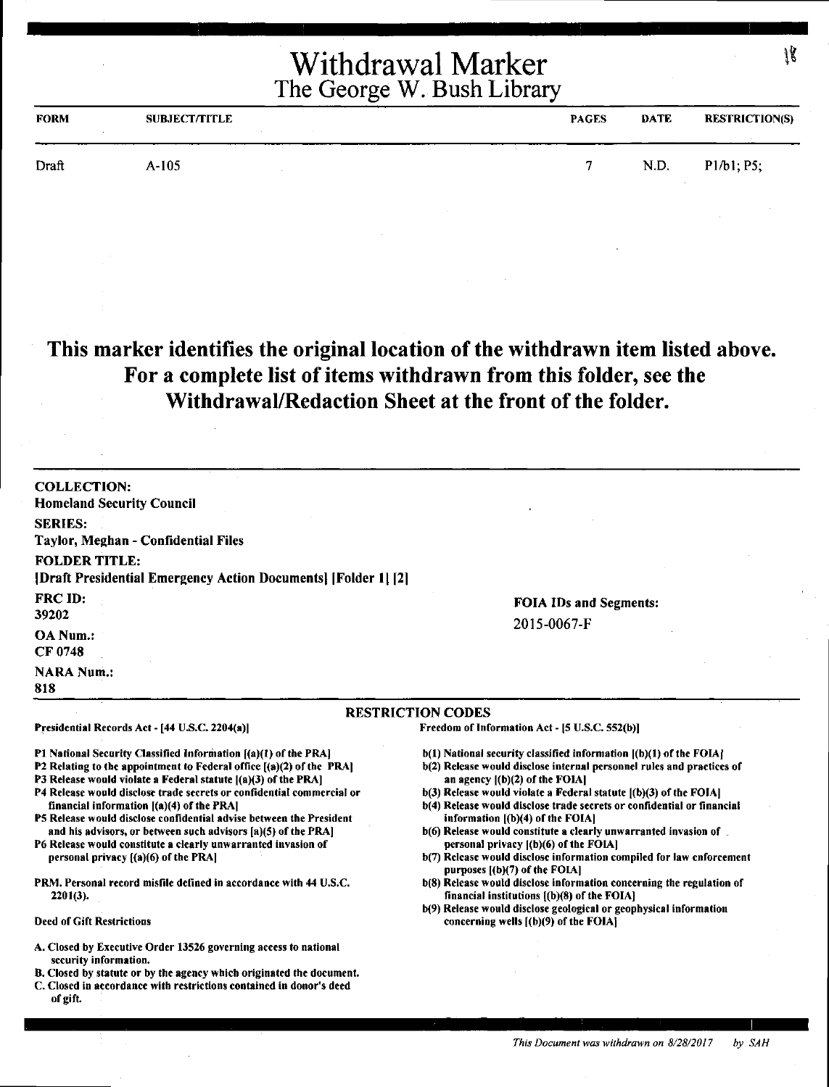| <b>FORM</b> | <b>SUBJECT/TITLE</b> | <b>PAGES</b> | <b>DATE</b> | RESTRICTION(S)   |
|-------------|----------------------|--------------|-------------|------------------|
| Draft       | $A-105$              | -            | N.D.        | $Pl/b1$ ; $P5$ ; |

## **This marker identifies the original location of the withdrawn item listed above. For a complete list of items withdrawn from this folder, see the Withdrawal/Redaction Sheet at the front of the folder.**

| <b>COLLECTION:</b><br><b>Homeland Security Council</b>                                                                                                                                                                                                                                                                                                                                                                                                                                                                                                                                                                                                                   |                                                                                                                                                                                                                                                                                                                                                                                                                                                                                                                                                                                                                                                                                                                         |
|--------------------------------------------------------------------------------------------------------------------------------------------------------------------------------------------------------------------------------------------------------------------------------------------------------------------------------------------------------------------------------------------------------------------------------------------------------------------------------------------------------------------------------------------------------------------------------------------------------------------------------------------------------------------------|-------------------------------------------------------------------------------------------------------------------------------------------------------------------------------------------------------------------------------------------------------------------------------------------------------------------------------------------------------------------------------------------------------------------------------------------------------------------------------------------------------------------------------------------------------------------------------------------------------------------------------------------------------------------------------------------------------------------------|
| <b>SERIES:</b>                                                                                                                                                                                                                                                                                                                                                                                                                                                                                                                                                                                                                                                           |                                                                                                                                                                                                                                                                                                                                                                                                                                                                                                                                                                                                                                                                                                                         |
| Taylor, Meghan - Confidential Files                                                                                                                                                                                                                                                                                                                                                                                                                                                                                                                                                                                                                                      |                                                                                                                                                                                                                                                                                                                                                                                                                                                                                                                                                                                                                                                                                                                         |
| <b>FOLDER TITLE:</b><br>[Draft Presidential Emergency Action Documents] [Folder 1] [2]                                                                                                                                                                                                                                                                                                                                                                                                                                                                                                                                                                                   |                                                                                                                                                                                                                                                                                                                                                                                                                                                                                                                                                                                                                                                                                                                         |
| <b>FRC ID:</b>                                                                                                                                                                                                                                                                                                                                                                                                                                                                                                                                                                                                                                                           | <b>FOIA IDs and Segments:</b>                                                                                                                                                                                                                                                                                                                                                                                                                                                                                                                                                                                                                                                                                           |
| 39202                                                                                                                                                                                                                                                                                                                                                                                                                                                                                                                                                                                                                                                                    | 2015-0067-F                                                                                                                                                                                                                                                                                                                                                                                                                                                                                                                                                                                                                                                                                                             |
| <b>OA</b> Num.:<br>CF 0748                                                                                                                                                                                                                                                                                                                                                                                                                                                                                                                                                                                                                                               |                                                                                                                                                                                                                                                                                                                                                                                                                                                                                                                                                                                                                                                                                                                         |
| <b>NARA Num.:</b><br>818                                                                                                                                                                                                                                                                                                                                                                                                                                                                                                                                                                                                                                                 |                                                                                                                                                                                                                                                                                                                                                                                                                                                                                                                                                                                                                                                                                                                         |
|                                                                                                                                                                                                                                                                                                                                                                                                                                                                                                                                                                                                                                                                          | <b>RESTRICTION CODES</b>                                                                                                                                                                                                                                                                                                                                                                                                                                                                                                                                                                                                                                                                                                |
| Presidential Records Act - [44 U.S.C. 2204(a)]                                                                                                                                                                                                                                                                                                                                                                                                                                                                                                                                                                                                                           | Freedom of Information Act - [5 U.S.C. 552(b)]                                                                                                                                                                                                                                                                                                                                                                                                                                                                                                                                                                                                                                                                          |
| P1 National Security Classified Information [(a)(1) of the PRA]<br>P2 Relating to the appointment to Federal office [(a)(2) of the PRA]<br>P3 Release would violate a Federal statute $( (a)(3)$ of the PRA]<br>P4 Release would disclose trade secrets or confidential commercial or<br>financial information $[(a)(4)$ of the PRA<br>P5 Release would disclose confidential advise between the President<br>and his advisors, or between such advisors [a](5) of the PRA]<br>P6 Release would constitute a clearly unwarranted invasion of<br>personal privacy [(a)(6) of the PRA]<br>PRM. Personal record misfile defined in accordance with 44 U.S.C.<br>$2201(3)$ . | b(1) National security classified information [(b)(1) of the FOIA]<br>b(2) Release would disclose internal personnel rules and practices of<br>an agency $[(b)(2)$ of the FOIA]<br>$b(3)$ Release would violate a Federal statute $(6)(3)$ of the FOIA]<br>b(4) Release would disclose trade secrets or confidential or financial<br>information $[(b)(4)$ of the FOIA]<br>b(6) Release would constitute a clearly unwarranted invasion of<br>personal privacy [(b)(6) of the FOIA]<br>b(7) Release would disclose information compiled for law enforcement<br>purposes $[(b)(7)$ of the FOIA]<br>b(8) Release would disclose information concerning the regulation of<br>financial institutions $[(b)(8)$ of the FOIA] |
| <b>Deed of Gift Restrictions</b>                                                                                                                                                                                                                                                                                                                                                                                                                                                                                                                                                                                                                                         | b(9) Release would disclose geological or geophysical information<br>concerning wells $($ (b) $(9)$ of the FOIA $\}$                                                                                                                                                                                                                                                                                                                                                                                                                                                                                                                                                                                                    |
| A. Closed by Executive Order 13526 governing access to national<br>security information.<br>B. Closed by statute or by the agency which originated the document.<br>C. Closed in accordance with restrictions contained in donor's deed<br>of gift.                                                                                                                                                                                                                                                                                                                                                                                                                      |                                                                                                                                                                                                                                                                                                                                                                                                                                                                                                                                                                                                                                                                                                                         |

**I**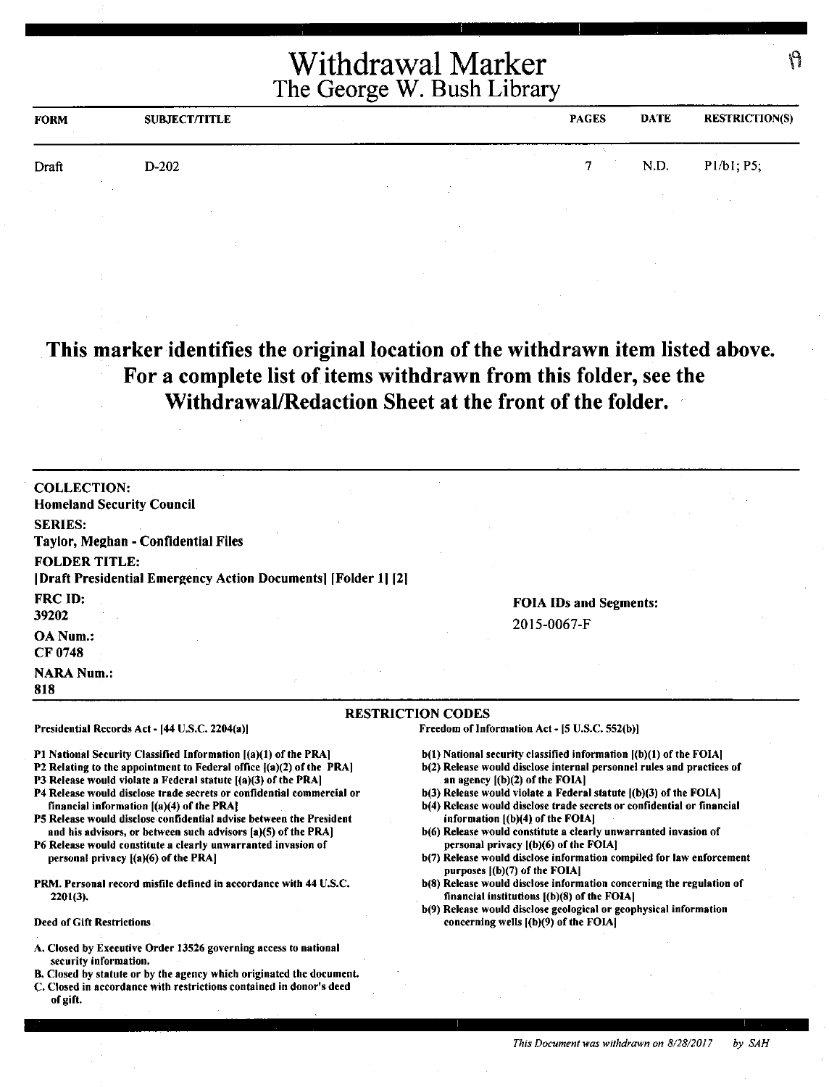| <b>FORM</b> | <b>SUBJECT/TITLE</b> | <b>PAGES</b> | <b>DATE</b> | <b>RESTRICTION(S)</b>             |
|-------------|----------------------|--------------|-------------|-----------------------------------|
| Draft       | D-202                | m            | N.D.        | P1/b1; P5;                        |
|             |                      |              |             | the company's company's company's |

**This marker identifies the original location of the withdrawn item listed above. For a complete list of items withdrawn from this folder, see the Withdrawal/Redaction Sheet at the front of the folder.** 

| <b>COLLECTION:</b>                                                                                                                      |                                                                                                           |
|-----------------------------------------------------------------------------------------------------------------------------------------|-----------------------------------------------------------------------------------------------------------|
| <b>Homeland Security Council</b>                                                                                                        |                                                                                                           |
| <b>SERIES:</b><br>Taylor, Meghan - Confidential Files                                                                                   |                                                                                                           |
| <b>FOLDER TITLE:</b>                                                                                                                    |                                                                                                           |
| [Draft Presidential Emergency Action Documents] [Folder 1] [2]                                                                          |                                                                                                           |
| FRC ID:                                                                                                                                 |                                                                                                           |
| 39202                                                                                                                                   | <b>FOIA IDs and Segments:</b>                                                                             |
|                                                                                                                                         | 2015-0067-F                                                                                               |
| OA Num.:<br>CF 0748                                                                                                                     |                                                                                                           |
|                                                                                                                                         |                                                                                                           |
| <b>NARA Num.:</b>                                                                                                                       |                                                                                                           |
| 818                                                                                                                                     |                                                                                                           |
|                                                                                                                                         | <b>RESTRICTION CODES</b>                                                                                  |
| Presidential Records Act - [44 U.S.C. 2204(a)]                                                                                          | Freedom of Information Act - [5 U.S.C. 552(b)]                                                            |
| P1 National Security Classified Information [(a)(1) of the PRA]                                                                         | $b(1)$ National security classified information $[(b)(1)$ of the FOIA]                                    |
| P2 Relating to the appointment to Federal office [(a)(2) of the PRA]                                                                    | b(2) Release would disclose internal personnel rules and practices of<br>an agency $[(b)(2)$ of the FOIA] |
| P3 Release would violate a Federal statute [(a)(3) of the PRA]<br>P4 Release would disclose trade secrets or confidential commercial or | b(3) Release would violate a Federal statute [(b)(3) of the FOIA]                                         |
| financial information $[(a)(4)$ of the PRA                                                                                              | b(4) Release would disclose trade secrets or confidential or financial                                    |
| P5 Release would disclose confidential advise between the President                                                                     | information $[(b)(4)$ of the FOIA]                                                                        |
| and his advisors, or between such advisors [a](5) of the PRA]<br>P6 Release would constitute a clearly unwarranted invasion of          | b(6) Release would constitute a clearly unwarranted invasion of<br>personal privacy ((b)(6) of the FOIA]  |
| personal privacy $[(a)(6)$ of the PRA                                                                                                   | b(7) Release would disclose information compiled for law enforcement<br>purposes [(b)(7) of the FOIA]     |
| PRM. Personal record misfile defined in accordance with 44 U.S.C.                                                                       | b(8) Release would disclose information concerning the regulation of                                      |
| $2201(3)$ .                                                                                                                             | financial institutions $[(b)(8)$ of the FOIA]                                                             |

- A. Closed by Executive Order 13526 governing access to national security information.
- B. Closed by statute or by the agency which originated the document.
- C. Closed in accordance with restrictions contained in donor's deed of gift.

*This Document was withdrawn on 8128/2017 by SAH* 

۱۹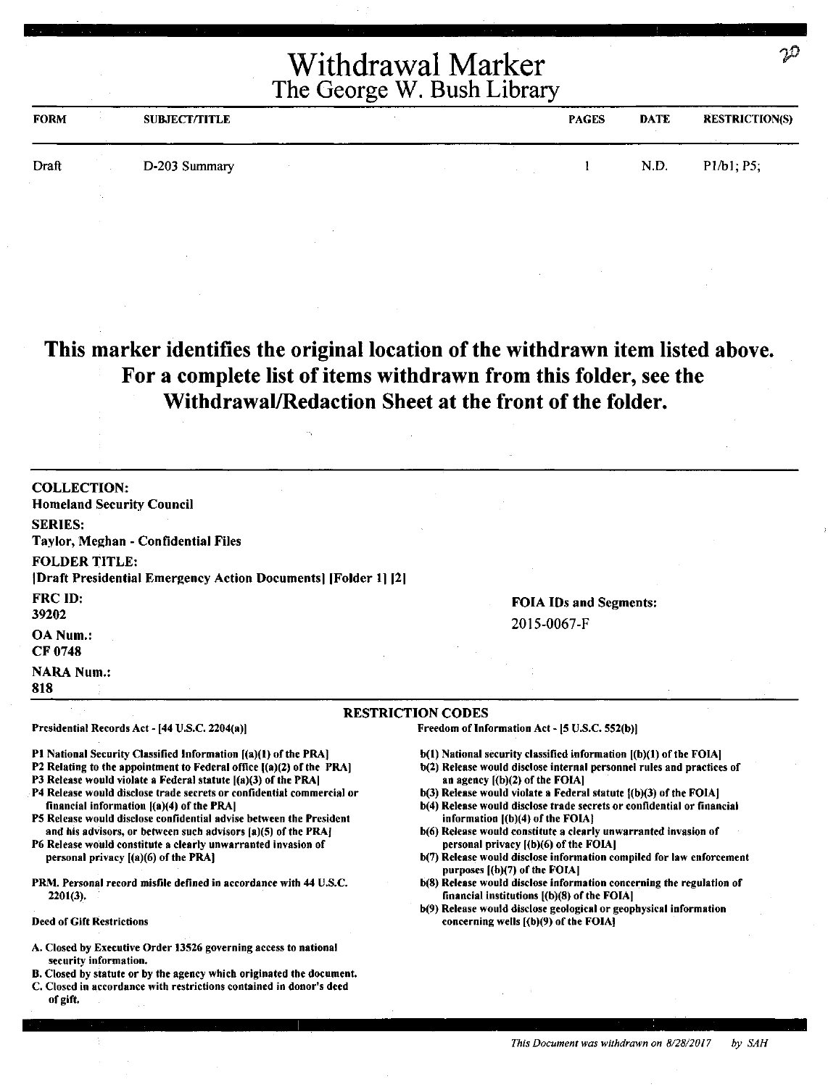| <b>FORM</b> | <b>SUBJECT/TITLE</b> | <b>PAGES</b> | <b>DATE</b> | <b>RESTRICTION(S)</b> |
|-------------|----------------------|--------------|-------------|-----------------------|
| Draft       | D-203 Summary        |              | N.D.        | P1/b1; P5;            |

## **This marker identifies the original location of the withdrawn item listed above. For a complete list of items withdrawn from this folder, see the Withdrawal/Redaction Sheet at the front of the folder.**

| <b>COLLECTION:</b>                                                                                                             |                                                                                                                                             |
|--------------------------------------------------------------------------------------------------------------------------------|---------------------------------------------------------------------------------------------------------------------------------------------|
| <b>Homeland Security Council</b>                                                                                               |                                                                                                                                             |
| <b>SERIES:</b>                                                                                                                 |                                                                                                                                             |
| Taylor, Meghan - Confidential Files                                                                                            |                                                                                                                                             |
| <b>FOLDER TITLE:</b>                                                                                                           |                                                                                                                                             |
| [2] [Draft Presidential Emergency Action Documents] [Folder 1]                                                                 |                                                                                                                                             |
| <b>FRC ID:</b>                                                                                                                 | <b>FOIA IDs and Segments:</b>                                                                                                               |
| 39202                                                                                                                          | 2015-0067-F                                                                                                                                 |
| OA Num.:                                                                                                                       |                                                                                                                                             |
| <b>CF 0748</b>                                                                                                                 |                                                                                                                                             |
| <b>NARA Num.:</b>                                                                                                              |                                                                                                                                             |
| 818                                                                                                                            |                                                                                                                                             |
|                                                                                                                                | <b>RESTRICTION CODES</b>                                                                                                                    |
| Presidential Records Act - [44 U.S.C. 2204(a)]                                                                                 | Freedom of Information Act - [5 U.S.C. 552(b)]                                                                                              |
| P1 National Security Classified Information [(a)(1) of the PRA]                                                                | b(1) National security classified information [(b)(1) of the FOIA]                                                                          |
| P2 Relating to the appointment to Federal office ((a)(2) of the PRA)                                                           | b(2) Release would disclose internal personnel rules and practices of                                                                       |
| P3 Release would violate a Federal statute $[(a)(3)$ of the PRA]                                                               | an agency $[(b)(2)$ of the FOIA]                                                                                                            |
| P4 Release would disclose trade secrets or confidential commercial or<br>financial information [(a)(4) of the PRA]             | b(3) Release would violate a Federal statute {(b)(3) of the FOIA]<br>b(4) Release would disclose trade secrets or confidential or financial |
| P5 Release would disclose confidential advise between the President                                                            | information $[(b)(4)$ of the FOIA $]$                                                                                                       |
| and his advisors, or between such advisors (a)(5) of the PRA]<br>P6 Release would constitute a clearly unwarranted invasion of | b(6) Release would constitute a clearly unwarranted invasion of<br>personal privacy ((b)(6) of the FOIA]                                    |
| personal privacy $[(a)(6)$ of the PRA]                                                                                         | b(7) Release would disclose information compiled for law enforcement                                                                        |
|                                                                                                                                | purposes $(6)(7)$ of the FOIA]                                                                                                              |
| PRM, Personal record misfile defined in accordance with 44 U.S.C.<br>$2201(3)$ .                                               | b(8) Release would disclose information concerning the regulation of<br>financial institutions $(6)(8)$ of the FOIA]                        |
|                                                                                                                                | b(9) Release would disclose geological or geophysical information                                                                           |
| <b>Deed of Gift Restrictions</b>                                                                                               | concerning wells [(b)(9) of the FOIA]                                                                                                       |
| A. Closed by Executive Order 13526 governing access to national<br>security information.                                       |                                                                                                                                             |
| B. Closed by statute or by the agency which originated the document.                                                           |                                                                                                                                             |
| C. Closed in accordance with restrictions contained in donor's deed                                                            |                                                                                                                                             |

of gift.

 $\mathfrak{D}% _{T}=\mathfrak{D}_{T}\!\left( a,b\right) ,\ \mathfrak{D}_{T}=C_{T}\!\left( a,b\right) ,$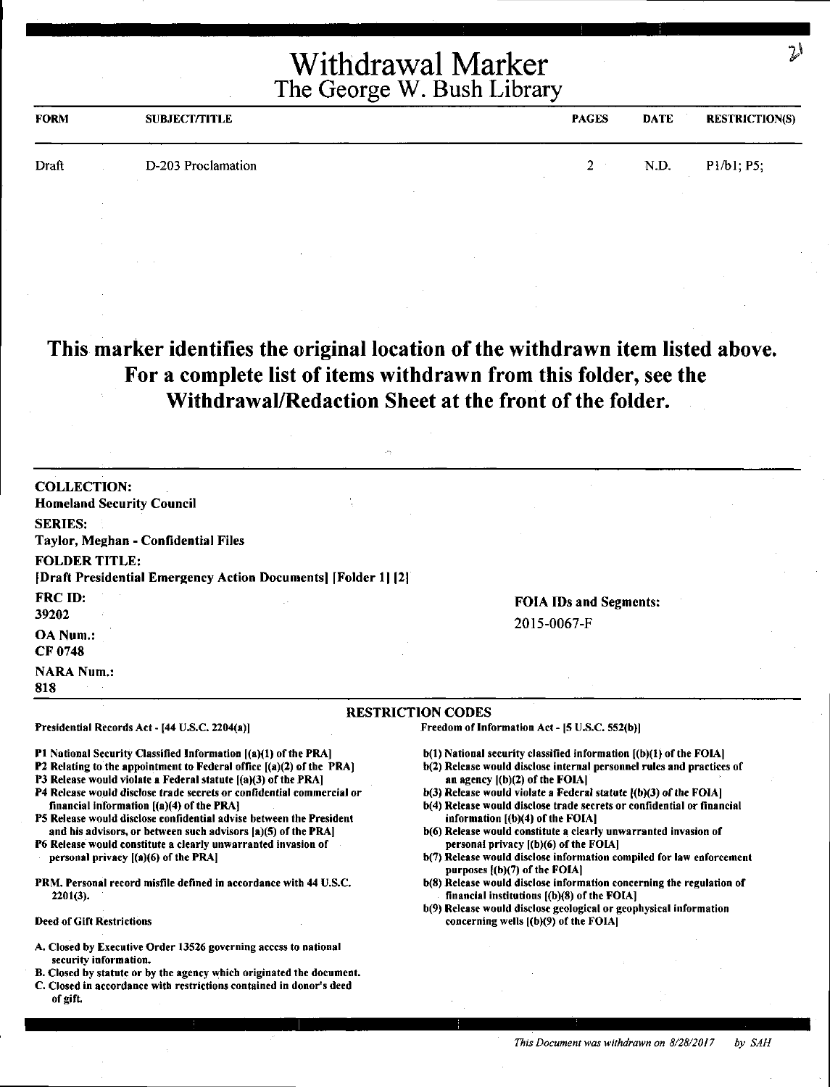| <b>FORM</b> | <b>SUBJECT/TITLE</b> | <b>PAGES</b> | DATE | <b>RESTRICTION(S)</b> |
|-------------|----------------------|--------------|------|-----------------------|
| Draft       | D-203 Proclamation   | $2 -$        | N.D. | P1/b1; P5;            |
|             |                      |              |      |                       |

## **This marker identifies the original location of the withdrawn item listed above. For a complete list of items withdrawn from this folder, see the Withdrawal/Redaction Sheet at the front of the folder.**

| <b>COLLECTION:</b><br><b>Homeland Security Council</b>                                                                                                                                                                                                                                                                                                                                                                                                                                                                                                                                                                                                      |                                                                                                                                                                                                                                                                                                                                                                                                                                                                                                                                                                                                                                                                       |
|-------------------------------------------------------------------------------------------------------------------------------------------------------------------------------------------------------------------------------------------------------------------------------------------------------------------------------------------------------------------------------------------------------------------------------------------------------------------------------------------------------------------------------------------------------------------------------------------------------------------------------------------------------------|-----------------------------------------------------------------------------------------------------------------------------------------------------------------------------------------------------------------------------------------------------------------------------------------------------------------------------------------------------------------------------------------------------------------------------------------------------------------------------------------------------------------------------------------------------------------------------------------------------------------------------------------------------------------------|
| <b>SERIES:</b>                                                                                                                                                                                                                                                                                                                                                                                                                                                                                                                                                                                                                                              |                                                                                                                                                                                                                                                                                                                                                                                                                                                                                                                                                                                                                                                                       |
| Taylor, Meghan - Confidential Files                                                                                                                                                                                                                                                                                                                                                                                                                                                                                                                                                                                                                         |                                                                                                                                                                                                                                                                                                                                                                                                                                                                                                                                                                                                                                                                       |
| <b>FOLDER TITLE:</b><br>[Draft Presidential Emergency Action Documents] [Folder 1] [2]                                                                                                                                                                                                                                                                                                                                                                                                                                                                                                                                                                      |                                                                                                                                                                                                                                                                                                                                                                                                                                                                                                                                                                                                                                                                       |
| <b>FRC ID:</b><br>39202                                                                                                                                                                                                                                                                                                                                                                                                                                                                                                                                                                                                                                     | <b>FOIA IDs and Segments:</b>                                                                                                                                                                                                                                                                                                                                                                                                                                                                                                                                                                                                                                         |
| OA Num.:<br>CF 0748                                                                                                                                                                                                                                                                                                                                                                                                                                                                                                                                                                                                                                         | 2015-0067-F                                                                                                                                                                                                                                                                                                                                                                                                                                                                                                                                                                                                                                                           |
| <b>NARA Num.:</b><br>818                                                                                                                                                                                                                                                                                                                                                                                                                                                                                                                                                                                                                                    |                                                                                                                                                                                                                                                                                                                                                                                                                                                                                                                                                                                                                                                                       |
|                                                                                                                                                                                                                                                                                                                                                                                                                                                                                                                                                                                                                                                             | <b>RESTRICTION CODES</b>                                                                                                                                                                                                                                                                                                                                                                                                                                                                                                                                                                                                                                              |
| Presidential Records Act - [44 U.S.C. 2204(a)]                                                                                                                                                                                                                                                                                                                                                                                                                                                                                                                                                                                                              | Freedom of Information Act - [5 U.S.C. 552(b)]                                                                                                                                                                                                                                                                                                                                                                                                                                                                                                                                                                                                                        |
| P1 National Security Classified Information [(a)(1) of the PRA]<br>P2 Relating to the appointment to Federal office $[(a)(2)$ of the PRA]<br>P3 Release would violate a Federal statute [(a)(3) of the PRA]<br>P4 Release would disclose trade secrets or confidential commercial or<br>financial information $[(a)(4)$ of the PRA]<br>P5 Release would disclose confidential advise between the President<br>and his advisors, or between such advisors [a)(5) of the PRA]<br>P6 Release would constitute a clearly unwarranted invasion of<br>personal privacy $[(a)(6)$ of the PRA]<br>PRM, Personal record misfile defined in accordance with 44 U.S.C. | $b(1)$ National security classified information $[(b)(1)$ of the FOIA]<br>b(2) Release would disclose internal personnel rules and practices of<br>an agency $[(b)(2)$ of the FOIA]<br>b(3) Release would violate a Federal statute [(b)(3) of the FOIA]<br>b(4) Release would disclose trade secrets or confidential or financial<br>information $[(b)(4)$ of the FOIA]<br>b(6) Release would constitute a clearly unwarranted invasion of<br>personal privacy [(b)(6) of the FOIA]<br>b(7) Release would disclose information compiled for law enforcement<br>purposes [(b)(7) of the FOIA]<br>b(8) Release would disclose information concerning the regulation of |
| $2201(3)$ .                                                                                                                                                                                                                                                                                                                                                                                                                                                                                                                                                                                                                                                 | financial institutions $(6)(8)$ of the FOIA]<br>b(9) Release would disclose geological or geophysical information                                                                                                                                                                                                                                                                                                                                                                                                                                                                                                                                                     |
| <b>Deed of Gift Restrictions</b>                                                                                                                                                                                                                                                                                                                                                                                                                                                                                                                                                                                                                            | concerning wells $[(b)(9)$ of the FOIA]                                                                                                                                                                                                                                                                                                                                                                                                                                                                                                                                                                                                                               |
| A. Closed by Executive Order 13526 governing access to national<br>security information.<br>B. Closed by statute or by the agency which originated the document.<br>C. Closed in accordance with restrictions contained in donor's deed<br>of gift.                                                                                                                                                                                                                                                                                                                                                                                                         |                                                                                                                                                                                                                                                                                                                                                                                                                                                                                                                                                                                                                                                                       |

~I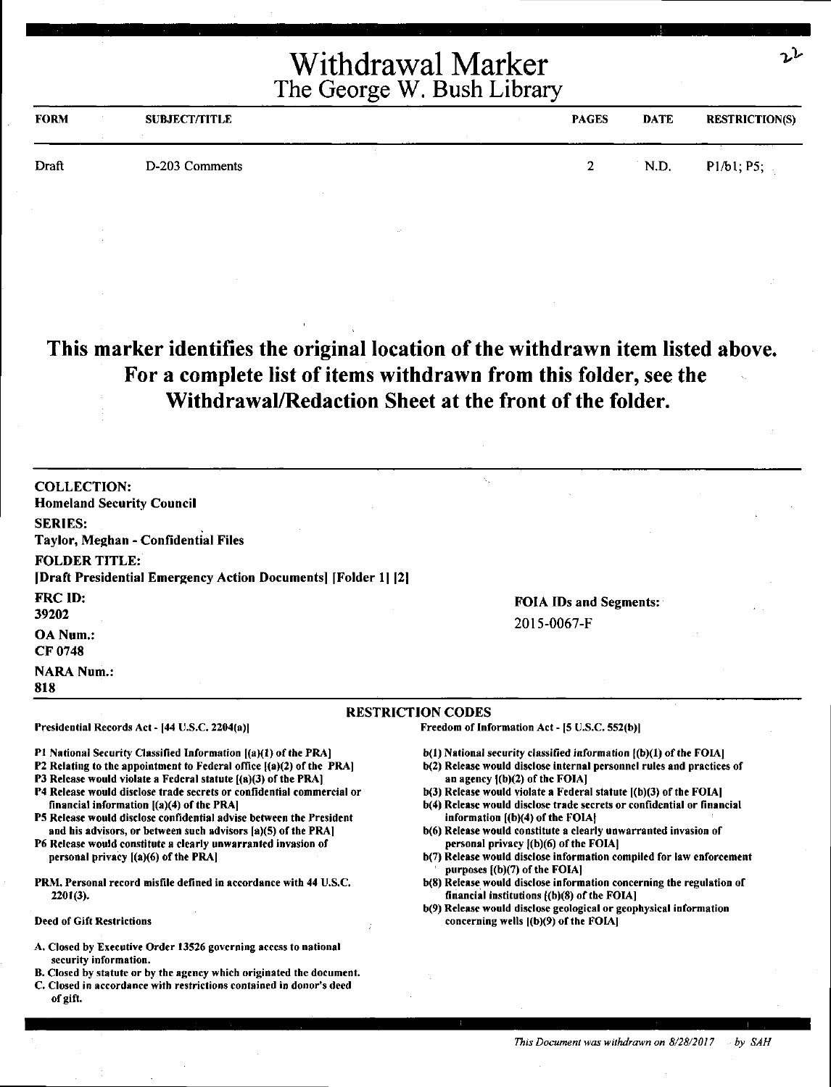| <b>FORM</b> | <b>SUBJECT/TITLE</b> | <b>PAGES</b> | <b>DATE</b> | <b>RESTRICTION(S)</b> |
|-------------|----------------------|--------------|-------------|-----------------------|
| Draft       | D-203 Comments       | Ω.<br>∼      | N.D.        | P1/b1; P5;            |

## **This marker identifies the original location of the withdrawn item listed above. For a complete list of items withdrawn from this folder, see the Withdrawal/Redaction Sheet at the front of the folder.**

COLLECTION: Homeland Security Council SERIES: Taylor, Meghan - Confidential Files FOLDER TITLE: [Draft Presidential Emergency Action Documents] [Folder I I [21 FRC ID: 39202 OANum.: CF 0748 **NARA Num.:** 818 FOIA IDs and Segments: 2015-0067-F RESTRICTION CODES Presidential Records Act• (44 U.S.C. 2204(a)) Pl National Security Classified Information ((a)(l) of the PRA] P2 Relating to the appointment to Federal office [(a)(2) of the PRA] P3 Release would violate a Federal statute [(a)(3) of the PRA] P4 Release would disclose trade secrets or confidential commercial or financial information  $[(a)(4)$  of the PRA] PS Release would disclose confidential advise between the President and his advisors, or between such advisors (a)(S) of the PRA) P6 Release would constitute a clearly unwarranted invasion of personal privacy f(a)(6) of the PRA) PRM. Personal record misfile defined in accordance with 44 U,S,C, 2201(3). Freedom of Information Act - (5 U.S.C. 552(b)) b(I) National security classified information ((b)(l) of the FOIAJ b(2) Release would disclose internal personnel rules and practices of an agency  $(0)(2)$  of the FOIA] b(3) Release would violate a Federal statute [(b)(3) of the FOIA] b(4) Release would disclose trade secrets or confidential or financial information  $[(b)(4)$  of the FOIA $]$ b(6) Release would constitute a clearly unwarranted invasion of personal privacy [(b)(6) of the FOIA] b(7) Release would disclose information compiled for law enforcement purposes ((b)(7) of the FOIAI b(8) Release would disclose information concerning the regulation of financial institutions  $(6)(8)$  of the FOIA]

Deed of Gift Restrictions

- A. Closed by Executive Order 13526 governing access to national security information.
- B. Closed by statute or by the agency which originated the document.
- C. Closed in accordance with restrictions contained in donor's deed of gift.
- b(9) Release would disclose geological or geophysical information concerning wells ((b)(9) of the FOIAJ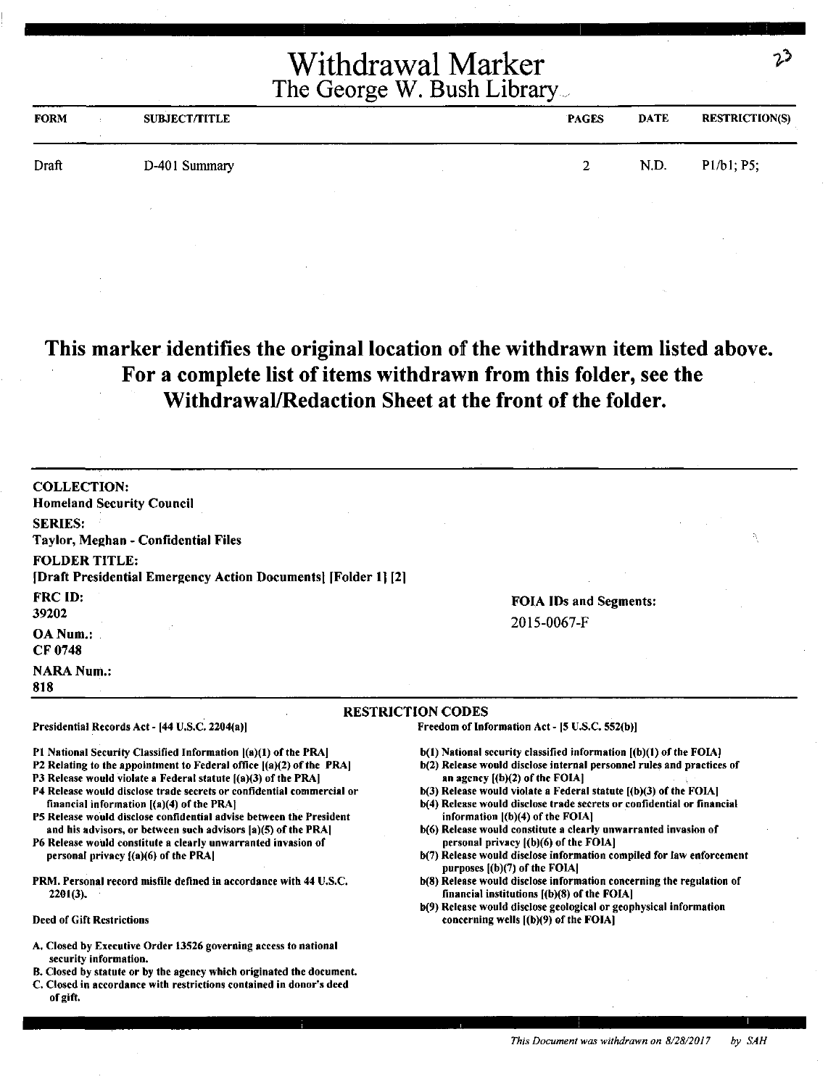| <b>FORM</b> | <b>SUBJECT/TITLE</b> |  | <b>PAGES</b> | <b>DATE</b> | <b>RESTRICTION(S)</b> |
|-------------|----------------------|--|--------------|-------------|-----------------------|
| Draft       | D-401 Summary        |  |              | N.D.        | P1/b1; P5;            |
|             |                      |  |              |             |                       |

## **This marker identifies the original location** of **the withdrawn item listed above. For a complete list of items withdrawn from this folder, see the Withdrawal/Redaction Sheet at the front of the folder.**

| <b>COLLECTION:</b><br><b>Homeland Security Council</b>                                                                                                                                                                                                                                                                                                                                                                                                                                                                                                                            |                                                                                                                                                                                                                                                                                                                                                                                                                                                                                                                                                                                                  |
|-----------------------------------------------------------------------------------------------------------------------------------------------------------------------------------------------------------------------------------------------------------------------------------------------------------------------------------------------------------------------------------------------------------------------------------------------------------------------------------------------------------------------------------------------------------------------------------|--------------------------------------------------------------------------------------------------------------------------------------------------------------------------------------------------------------------------------------------------------------------------------------------------------------------------------------------------------------------------------------------------------------------------------------------------------------------------------------------------------------------------------------------------------------------------------------------------|
| <b>SERIES:</b><br>Taylor, Meghan - Confidential Files                                                                                                                                                                                                                                                                                                                                                                                                                                                                                                                             | Ą                                                                                                                                                                                                                                                                                                                                                                                                                                                                                                                                                                                                |
| <b>FOLDER TITLE:</b><br>[Draft Presidential Emergency Action Documents] [Folder 1] [2]                                                                                                                                                                                                                                                                                                                                                                                                                                                                                            |                                                                                                                                                                                                                                                                                                                                                                                                                                                                                                                                                                                                  |
| FRC ID:<br>39202                                                                                                                                                                                                                                                                                                                                                                                                                                                                                                                                                                  | <b>FOIA IDs and Segments:</b><br>2015-0067-F                                                                                                                                                                                                                                                                                                                                                                                                                                                                                                                                                     |
| OA Num.:<br>CF 0748                                                                                                                                                                                                                                                                                                                                                                                                                                                                                                                                                               |                                                                                                                                                                                                                                                                                                                                                                                                                                                                                                                                                                                                  |
| <b>NARA Num.:</b><br>818                                                                                                                                                                                                                                                                                                                                                                                                                                                                                                                                                          |                                                                                                                                                                                                                                                                                                                                                                                                                                                                                                                                                                                                  |
| Presidential Records Act - [44 U.S.C. 2204(a)]                                                                                                                                                                                                                                                                                                                                                                                                                                                                                                                                    | <b>RESTRICTION CODES</b><br>Freedom of Information Act - [5 U.S.C. 552(b)]                                                                                                                                                                                                                                                                                                                                                                                                                                                                                                                       |
| P1 National Security Classified Information ((a)(1) of the PRA<br>P2 Relating to the appointment to Federal office [(a)(2) of the PRA]<br>P3 Release would violate a Federal statute ((a)(3) of the PRA]<br>P4 Release would disclose trade secrets or confidential commercial or<br>financial information $[(a)(4)$ of the PRA<br>P5 Release would disclose confidential advise between the President<br>and his advisors, or between such advisors [a](5) of the PRA]<br>P6 Release would constitute a clearly unwarranted invasion of<br>personal privacy $[(a)(6)$ of the PRA | $b(1)$ National security classified information $(a)(1)$ of the FOIA.<br>b(2) Release would disclose internal personnel rules and practices of<br>an agency $[(b)(2)$ of the FOIA]<br>b(3) Release would violate a Federal statute ((b)(3) of the FOIA]<br>b(4) Release would disclose trade secrets or confidential or financial<br>information [(b)(4) of the FOIA]<br>b(6) Release would constitute a clearly unwarranted invasion of<br>personal privacy $(6)(6)$ of the FOIA<br>b(7) Release would disclose information compiled for law enforcement<br>purposes $(a)$ [(b)(7) of the FOIA] |
| PRM. Personal record misfile defined in accordance with 44 U.S.C.<br>$2201(3)$ .                                                                                                                                                                                                                                                                                                                                                                                                                                                                                                  | b(8) Release would disclose information concerning the regulation of<br>financial institutions [(b)(8) of the FOIA]<br>b(9) Release would disclose geological or geophysical information                                                                                                                                                                                                                                                                                                                                                                                                         |

Deed of Gift Restrictions

- A. Closed by Executive Order 13526 governing access to national security information.
- 8. Closed by statute or by the agency which originated the document.
- C. Closed in accordance with restrictions contained in donor's deed of gift.

*This Document was withdrawn on 8/28/2017* by *SAH* 

っつ

concerning wells ((b)(9) of the FOIA)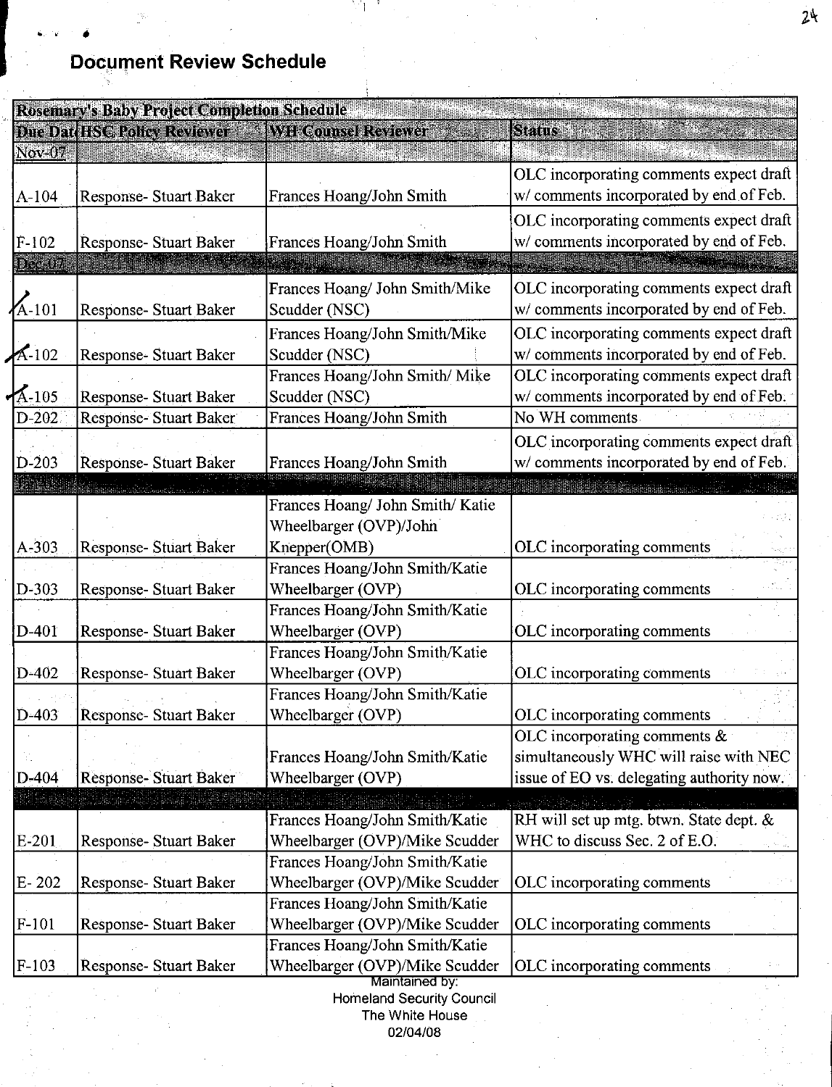# |<br>| .... ...<br>| Docu **Document Review Schedule**

| <b>Rosemary's Baby Project Completion Schedule</b> |                               |                                                     |                                                                                    |  |
|----------------------------------------------------|-------------------------------|-----------------------------------------------------|------------------------------------------------------------------------------------|--|
|                                                    | Due Dat HSC Policy Reviewer   | <b>WIT Counsel Reviewer</b>                         | <b>Status</b>                                                                      |  |
| Nov-07                                             |                               |                                                     |                                                                                    |  |
|                                                    |                               |                                                     | OLC incorporating comments expect draft                                            |  |
| $A-104$                                            | <b>Response- Stuart Baker</b> | Frances Hoang/John Smith                            | w/ comments incorporated by end of Feb.                                            |  |
|                                                    |                               |                                                     | OLC incorporating comments expect draft                                            |  |
| $F-102$                                            | Response- Stuart Baker        | Frances Hoang/John Smith                            | w/ comments incorporated by end of Feb.                                            |  |
| Dec-07                                             |                               |                                                     |                                                                                    |  |
|                                                    |                               | Frances Hoang/ John Smith/Mike                      | OLC incorporating comments expect draft                                            |  |
| $A-101$                                            | Response- Stuart Baker        | Scudder (NSC)                                       | w/ comments incorporated by end of Feb.                                            |  |
|                                                    |                               | Frances Hoang/John Smith/Mike                       | OLC incorporating comments expect draft                                            |  |
| $A-102$                                            | Response- Stuart Baker        | Scudder (NSC)                                       | w/ comments incorporated by end of Feb.                                            |  |
|                                                    |                               | Frances Hoang/John Smith/ Mike                      | OLC incorporating comments expect draft                                            |  |
| $A-105$                                            | Response- Stuart Baker        | Scudder (NSC)                                       | w/ comments incorporated by end of Feb.                                            |  |
| $D-202$                                            | Response- Stuart Baker        | Frances Hoang/John Smith                            | No WH comments                                                                     |  |
|                                                    |                               |                                                     | OLC incorporating comments expect draft                                            |  |
| $D-203$                                            | Response- Stuart Baker        | Frances Hoang/John Smith                            | w/ comments incorporated by end of Feb.                                            |  |
|                                                    |                               |                                                     |                                                                                    |  |
|                                                    |                               | Frances Hoang/ John Smith/ Katie                    |                                                                                    |  |
|                                                    |                               | Wheelbarger (OVP)/John                              |                                                                                    |  |
| $A - 303$                                          | <b>Response-Stuart Baker</b>  | Knepper(OMB)                                        | OLC incorporating comments                                                         |  |
|                                                    |                               | Frances Hoang/John Smith/Katie                      |                                                                                    |  |
| D-303                                              | Response- Stuart Baker        | Wheelbarger (OVP)                                   | OLC incorporating comments                                                         |  |
|                                                    |                               | Frances Hoang/John Smith/Katie                      |                                                                                    |  |
| $D-401$                                            | Response- Stuart Baker        | Wheelbarger (OVP)                                   | OLC incorporating comments                                                         |  |
|                                                    |                               | Frances Hoang/John Smith/Katie                      |                                                                                    |  |
| $D-402$                                            | Response-Stuart Baker         | Wheelbarger (OVP)                                   | OLC incorporating comments                                                         |  |
|                                                    |                               | Frances Hoang/John Smith/Katie                      |                                                                                    |  |
| $D-403$                                            | Response- Stuart Baker        | Wheelbarger (OVP)                                   | OLC incorporating comments                                                         |  |
|                                                    |                               |                                                     | OLC incorporating comments $\&$<br>simultaneously WHC will raise with NEC          |  |
| D-404                                              | <b>Response- Stuart Baker</b> | Frances Hoang/John Smith/Katie<br>Wheelbarger (OVP) | issue of EO vs. delegating authority now.                                          |  |
|                                                    |                               |                                                     |                                                                                    |  |
|                                                    |                               | Frances Hoang/John Smith/Katie                      | tijk is die kan de waardelike en de kan<br>RH will set up mtg. btwn. State dept. & |  |
| E-201                                              | Response- Stuart Baker        | Wheelbarger (OVP)/Mike Scudder                      | WHC to discuss Sec. 2 of E.O.                                                      |  |
|                                                    |                               | Frances Hoang/John Smith/Katie                      |                                                                                    |  |
| $E-202$                                            | Response- Stuart Baker        | Wheelbarger (OVP)/Mike Scudder                      | OLC incorporating comments                                                         |  |
|                                                    |                               | Frances Hoang/John Smith/Katie                      |                                                                                    |  |
| $F-101$                                            | Response- Stuart Baker        | Wheelbarger (OVP)/Mike Scudder                      | OLC incorporating comments                                                         |  |
|                                                    |                               | Frances Hoang/John Smith/Katie                      |                                                                                    |  |
| $F-103$                                            | Response- Stuart Baker        | Wheelbarger (OVP)/Mike Scudder                      | OLC incorporating comments                                                         |  |
|                                                    |                               | Maintained by:                                      |                                                                                    |  |
|                                                    |                               | <b>Homeland Security Council</b><br>The White House |                                                                                    |  |

02/04/08

 $24$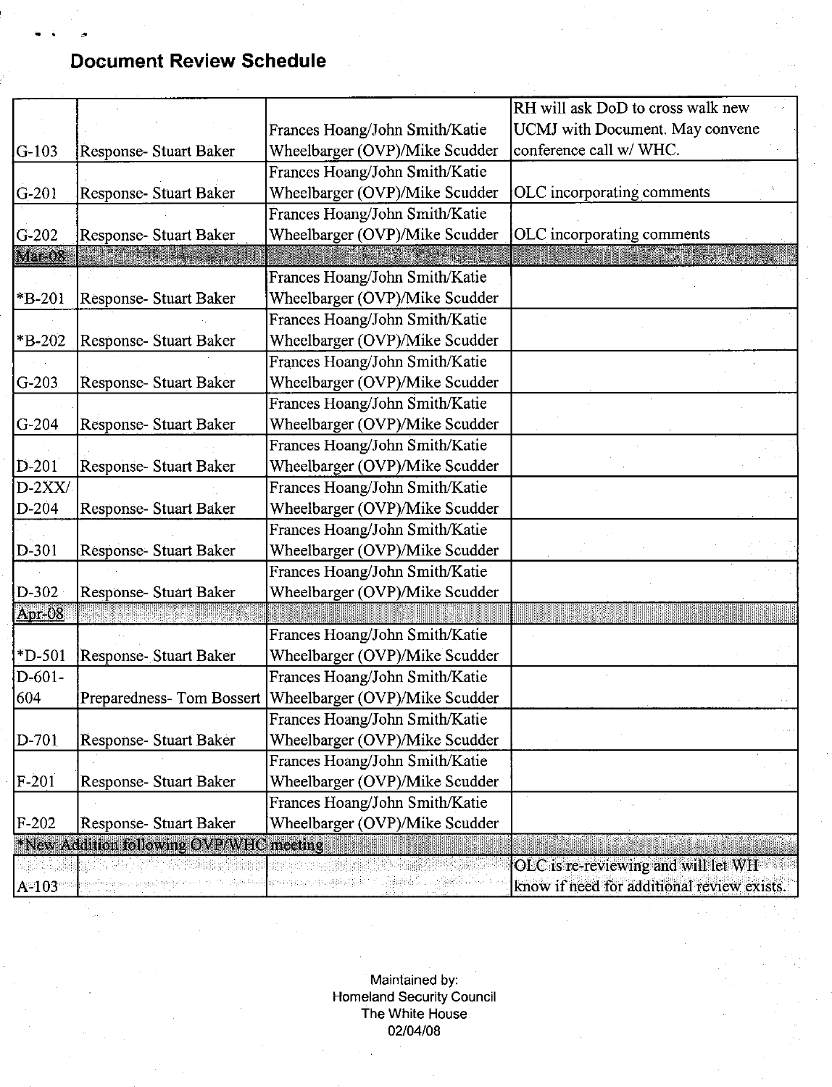## **Document Review Schedule**

|             |                                         |                                       | RH will ask DoD to cross walk new          |
|-------------|-----------------------------------------|---------------------------------------|--------------------------------------------|
|             |                                         | Frances Hoang/John Smith/Katie        | UCMJ with Document. May convene            |
| lG-103      | Response- Stuart Baker                  | Wheelbarger (OVP)/Mike Scudder        | conference call w/ WHC.                    |
|             |                                         | Frances Hoang/John Smith/Katie        |                                            |
| $G-201$     | Response- Stuart Baker                  | Wheelbarger (OVP)/Mike Scudder        | OLC incorporating comments                 |
|             |                                         | Frances Hoang/John Smith/Katie        |                                            |
| $G-202$     | Response- Stuart Baker                  | Wheelbarger (OVP)/Mike Scudder        | OLC incorporating comments                 |
| Mar-08      |                                         |                                       |                                            |
|             |                                         | Frances Hoang/John Smith/Katie        |                                            |
| $*B-201$    | Response- Stuart Baker                  | Wheelbarger (OVP)/Mike Scudder        |                                            |
|             |                                         | Frances Hoang/John Smith/Katie        |                                            |
| *B-202      | Response-Stuart Baker                   | Wheelbarger (OVP)/Mike Scudder        |                                            |
|             |                                         | Frances Hoang/John Smith/Katie        |                                            |
| $G-203$     | Response-Stuart Baker                   | Wheelbarger (OVP)/Mike Scudder        |                                            |
|             |                                         | Frances Hoang/John Smith/Katie        |                                            |
| $G-204$     | Response- Stuart Baker                  | Wheelbarger (OVP)/Mike Scudder        |                                            |
|             |                                         | Frances Hoang/John Smith/Katie        |                                            |
| $D-201$     | Response- Stuart Baker                  | Wheelbarger (OVP)/Mike Scudder        |                                            |
| $D-2XX/$    |                                         | Frances Hoang/John Smith/Katie        |                                            |
| $D-204$     | Response-Stuart Baker                   | Wheelbarger (OVP)/Mike Scudder        |                                            |
|             |                                         | Frances Hoang/John Smith/Katie        |                                            |
| D-301       | <b>Response- Stuart Baker</b>           | Wheelbarger (OVP)/Mike Scudder        |                                            |
|             |                                         | Frances Hoang/John Smith/Katie        |                                            |
| D-302       | Response- Stuart Baker                  | Wheelbarger (OVP)/Mike Scudder        |                                            |
| $ Apr-08 $  |                                         |                                       |                                            |
|             |                                         | Frances Hoang/John Smith/Katie        |                                            |
| $*D-501$    | Response- Stuart Baker                  | Wheelbarger (OVP)/Mike Scudder        |                                            |
| $D - 601 -$ |                                         | Frances Hoang/John Smith/Katie        |                                            |
| 604         | Preparedness-Tom Bossert                | Wheelbarger (OVP)/Mike Scudder        |                                            |
|             |                                         | Frances Hoang/John Smith/Katie        |                                            |
| $D-701$     | Response- Stuart Baker                  | Wheelbarger (OVP)/Mike Scudder        |                                            |
|             |                                         | Frances Hoang/John Smith/Katie        |                                            |
| $F-201$     | Response- Stuart Baker                  | Wheelbarger (OVP)/Mike Scudder        |                                            |
|             |                                         | Frances Hoang/John Smith/Katie        |                                            |
| $F-202$     | Response- Stuart Baker                  | Wheelbarger (OVP)/Mike Scudder        |                                            |
|             | *New Addition following OVP/WHC meeting |                                       |                                            |
|             |                                         |                                       | OLC is re-reviewing and will let WH        |
| $A = 103$   |                                         | Saminade and reproducementalist Self- | know if need for additional review exists. |

Maintained by: Homeland Security Council The White House 02/04/08

 $\overline{a}$